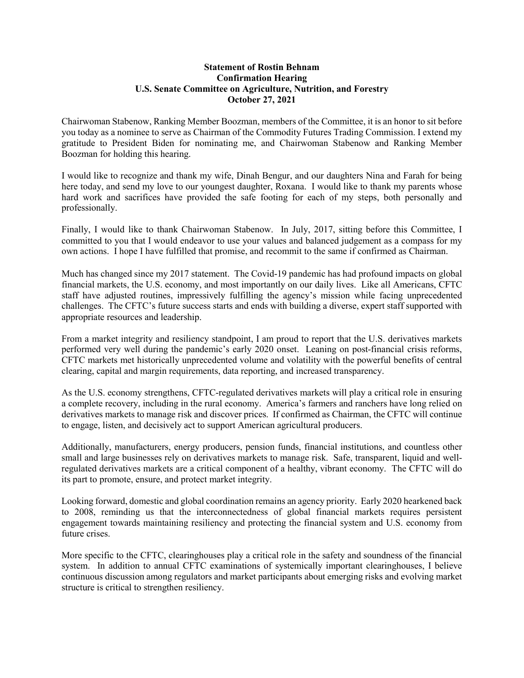## **Statement of Rostin Behnam Confirmation Hearing U.S. Senate Committee on Agriculture, Nutrition, and Forestry October 27, 2021**

Chairwoman Stabenow, Ranking Member Boozman, members of the Committee, it is an honor to sit before you today as a nominee to serve as Chairman of the Commodity Futures Trading Commission. I extend my gratitude to President Biden for nominating me, and Chairwoman Stabenow and Ranking Member Boozman for holding this hearing.

I would like to recognize and thank my wife, Dinah Bengur, and our daughters Nina and Farah for being here today, and send my love to our youngest daughter, Roxana. I would like to thank my parents whose hard work and sacrifices have provided the safe footing for each of my steps, both personally and professionally.

Finally, I would like to thank Chairwoman Stabenow. In July, 2017, sitting before this Committee, I committed to you that I would endeavor to use your values and balanced judgement as a compass for my own actions. I hope I have fulfilled that promise, and recommit to the same if confirmed as Chairman.

Much has changed since my 2017 statement. The Covid-19 pandemic has had profound impacts on global financial markets, the U.S. economy, and most importantly on our daily lives. Like all Americans, CFTC staff have adjusted routines, impressively fulfilling the agency's mission while facing unprecedented challenges. The CFTC's future success starts and ends with building a diverse, expert staff supported with appropriate resources and leadership.

From a market integrity and resiliency standpoint, I am proud to report that the U.S. derivatives markets performed very well during the pandemic's early 2020 onset. Leaning on post-financial crisis reforms, CFTC markets met historically unprecedented volume and volatility with the powerful benefits of central clearing, capital and margin requirements, data reporting, and increased transparency.

As the U.S. economy strengthens, CFTC-regulated derivatives markets will play a critical role in ensuring a complete recovery, including in the rural economy. America's farmers and ranchers have long relied on derivatives markets to manage risk and discover prices. If confirmed as Chairman, the CFTC will continue to engage, listen, and decisively act to support American agricultural producers.

Additionally, manufacturers, energy producers, pension funds, financial institutions, and countless other small and large businesses rely on derivatives markets to manage risk. Safe, transparent, liquid and wellregulated derivatives markets are a critical component of a healthy, vibrant economy. The CFTC will do its part to promote, ensure, and protect market integrity.

Looking forward, domestic and global coordination remains an agency priority. Early 2020 hearkened back to 2008, reminding us that the interconnectedness of global financial markets requires persistent engagement towards maintaining resiliency and protecting the financial system and U.S. economy from future crises.

More specific to the CFTC, clearinghouses play a critical role in the safety and soundness of the financial system. In addition to annual CFTC examinations of systemically important clearinghouses, I believe continuous discussion among regulators and market participants about emerging risks and evolving market structure is critical to strengthen resiliency.